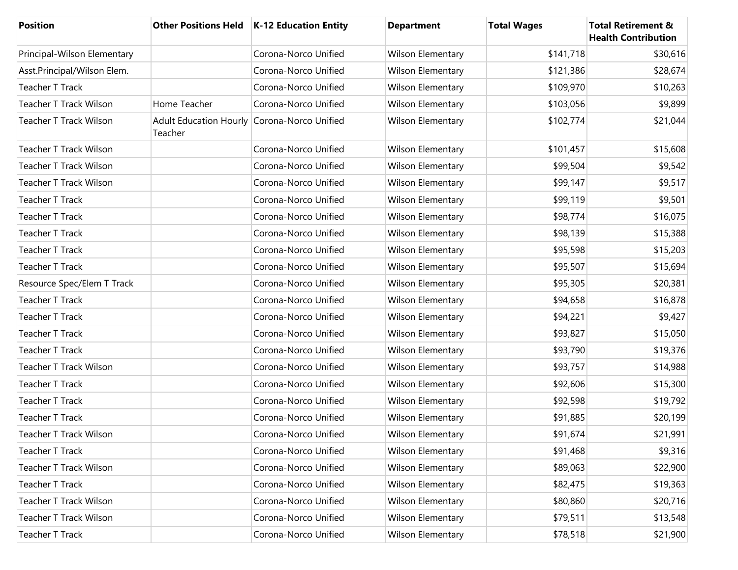| <b>Position</b>               |                                                        | Other Positions Held   K-12 Education Entity | <b>Department</b>        | <b>Total Wages</b> | <b>Total Retirement &amp;</b><br><b>Health Contribution</b> |
|-------------------------------|--------------------------------------------------------|----------------------------------------------|--------------------------|--------------------|-------------------------------------------------------------|
| Principal-Wilson Elementary   |                                                        | Corona-Norco Unified                         | Wilson Elementary        | \$141,718          | \$30,616                                                    |
| Asst.Principal/Wilson Elem.   |                                                        | Corona-Norco Unified                         | Wilson Elementary        | \$121,386          | \$28,674                                                    |
| <b>Teacher T Track</b>        |                                                        | Corona-Norco Unified                         | Wilson Elementary        | \$109,970          | \$10,263                                                    |
| <b>Teacher T Track Wilson</b> | Home Teacher                                           | Corona-Norco Unified                         | Wilson Elementary        | \$103,056          | \$9,899                                                     |
| <b>Teacher T Track Wilson</b> | Adult Education Hourly Corona-Norco Unified<br>Teacher |                                              | Wilson Elementary        | \$102,774          | \$21,044                                                    |
| Teacher T Track Wilson        |                                                        | Corona-Norco Unified                         | <b>Wilson Elementary</b> | \$101,457          | \$15,608                                                    |
| Teacher T Track Wilson        |                                                        | Corona-Norco Unified                         | Wilson Elementary        | \$99,504           | \$9,542                                                     |
| <b>Teacher T Track Wilson</b> |                                                        | Corona-Norco Unified                         | <b>Wilson Elementary</b> | \$99,147           | \$9,517                                                     |
| <b>Teacher T Track</b>        |                                                        | Corona-Norco Unified                         | Wilson Elementary        | \$99,119           | \$9,501                                                     |
| <b>Teacher T Track</b>        |                                                        | Corona-Norco Unified                         | <b>Wilson Elementary</b> | \$98,774           | \$16,075                                                    |
| <b>Teacher T Track</b>        |                                                        | Corona-Norco Unified                         | Wilson Elementary        | \$98,139           | \$15,388                                                    |
| <b>Teacher T Track</b>        |                                                        | Corona-Norco Unified                         | <b>Wilson Elementary</b> | \$95,598           | \$15,203                                                    |
| <b>Teacher T Track</b>        |                                                        | Corona-Norco Unified                         | Wilson Elementary        | \$95,507           | \$15,694                                                    |
| Resource Spec/Elem T Track    |                                                        | Corona-Norco Unified                         | <b>Wilson Elementary</b> | \$95,305           | \$20,381                                                    |
| <b>Teacher T Track</b>        |                                                        | Corona-Norco Unified                         | Wilson Elementary        | \$94,658           | \$16,878                                                    |
| <b>Teacher T Track</b>        |                                                        | Corona-Norco Unified                         | <b>Wilson Elementary</b> | \$94,221           | \$9,427                                                     |
| <b>Teacher T Track</b>        |                                                        | Corona-Norco Unified                         | Wilson Elementary        | \$93,827           | \$15,050                                                    |
| <b>Teacher T Track</b>        |                                                        | Corona-Norco Unified                         | <b>Wilson Elementary</b> | \$93,790           | \$19,376                                                    |
| <b>Teacher T Track Wilson</b> |                                                        | Corona-Norco Unified                         | Wilson Elementary        | \$93,757           | \$14,988                                                    |
| <b>Teacher T Track</b>        |                                                        | Corona-Norco Unified                         | Wilson Elementary        | \$92,606           | \$15,300                                                    |
| <b>Teacher T Track</b>        |                                                        | Corona-Norco Unified                         | Wilson Elementary        | \$92,598           | \$19,792                                                    |
| <b>Teacher T Track</b>        |                                                        | Corona-Norco Unified                         | Wilson Elementary        | \$91,885           | \$20,199                                                    |
| Teacher T Track Wilson        |                                                        | Corona-Norco Unified                         | Wilson Elementary        | \$91,674           | \$21,991                                                    |
| <b>Teacher T Track</b>        |                                                        | Corona-Norco Unified                         | <b>Wilson Elementary</b> | \$91,468           | \$9,316                                                     |
| Teacher T Track Wilson        |                                                        | Corona-Norco Unified                         | <b>Wilson Elementary</b> | \$89,063           | \$22,900                                                    |
| <b>Teacher T Track</b>        |                                                        | Corona-Norco Unified                         | Wilson Elementary        | \$82,475           | \$19,363                                                    |
| Teacher T Track Wilson        |                                                        | Corona-Norco Unified                         | <b>Wilson Elementary</b> | \$80,860           | \$20,716                                                    |
| Teacher T Track Wilson        |                                                        | Corona-Norco Unified                         | Wilson Elementary        | \$79,511           | \$13,548                                                    |
| Teacher T Track               |                                                        | Corona-Norco Unified                         | Wilson Elementary        | \$78,518           | \$21,900                                                    |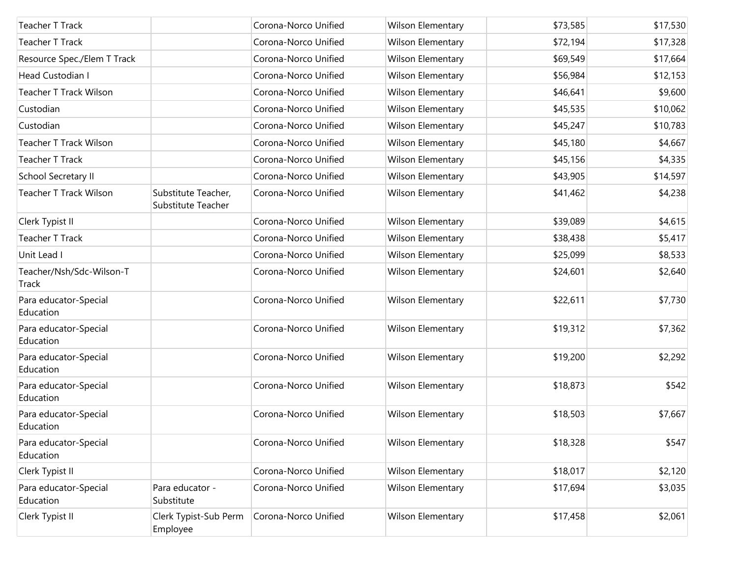| Teacher T Track                    |                                           | Corona-Norco Unified | Wilson Elementary        | \$73,585 | \$17,530 |
|------------------------------------|-------------------------------------------|----------------------|--------------------------|----------|----------|
| <b>Teacher T Track</b>             |                                           | Corona-Norco Unified | Wilson Elementary        | \$72,194 | \$17,328 |
| Resource Spec./Elem T Track        |                                           | Corona-Norco Unified | Wilson Elementary        | \$69,549 | \$17,664 |
| <b>Head Custodian I</b>            |                                           | Corona-Norco Unified | Wilson Elementary        | \$56,984 | \$12,153 |
| Teacher T Track Wilson             |                                           | Corona-Norco Unified | Wilson Elementary        | \$46,641 | \$9,600  |
| Custodian                          |                                           | Corona-Norco Unified | Wilson Elementary        | \$45,535 | \$10,062 |
| Custodian                          |                                           | Corona-Norco Unified | Wilson Elementary        | \$45,247 | \$10,783 |
| <b>Teacher T Track Wilson</b>      |                                           | Corona-Norco Unified | Wilson Elementary        | \$45,180 | \$4,667  |
| <b>Teacher T Track</b>             |                                           | Corona-Norco Unified | Wilson Elementary        | \$45,156 | \$4,335  |
| School Secretary II                |                                           | Corona-Norco Unified | Wilson Elementary        | \$43,905 | \$14,597 |
| <b>Teacher T Track Wilson</b>      | Substitute Teacher,<br>Substitute Teacher | Corona-Norco Unified | Wilson Elementary        | \$41,462 | \$4,238  |
| Clerk Typist II                    |                                           | Corona-Norco Unified | Wilson Elementary        | \$39,089 | \$4,615  |
| Teacher T Track                    |                                           | Corona-Norco Unified | Wilson Elementary        | \$38,438 | \$5,417  |
| Unit Lead I                        |                                           | Corona-Norco Unified | Wilson Elementary        | \$25,099 | \$8,533  |
| Teacher/Nsh/Sdc-Wilson-T<br>Track  |                                           | Corona-Norco Unified | Wilson Elementary        | \$24,601 | \$2,640  |
| Para educator-Special<br>Education |                                           | Corona-Norco Unified | Wilson Elementary        | \$22,611 | \$7,730  |
| Para educator-Special<br>Education |                                           | Corona-Norco Unified | Wilson Elementary        | \$19,312 | \$7,362  |
| Para educator-Special<br>Education |                                           | Corona-Norco Unified | Wilson Elementary        | \$19,200 | \$2,292  |
| Para educator-Special<br>Education |                                           | Corona-Norco Unified | <b>Wilson Elementary</b> | \$18,873 | \$542    |
| Para educator-Special<br>Education |                                           | Corona-Norco Unified | Wilson Elementary        | \$18,503 | \$7,667  |
| Para educator-Special<br>Education |                                           | Corona-Norco Unified | Wilson Elementary        | \$18,328 | \$547    |
| Clerk Typist II                    |                                           | Corona-Norco Unified | Wilson Elementary        | \$18,017 | \$2,120  |
| Para educator-Special<br>Education | Para educator -<br>Substitute             | Corona-Norco Unified | Wilson Elementary        | \$17,694 | \$3,035  |
| Clerk Typist II                    | Clerk Typist-Sub Perm<br>Employee         | Corona-Norco Unified | <b>Wilson Elementary</b> | \$17,458 | \$2,061  |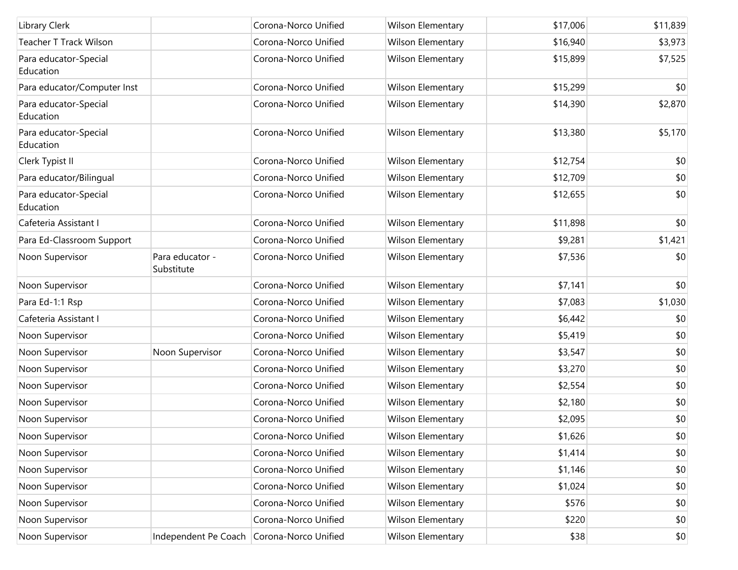| Library Clerk                      |                               | Corona-Norco Unified | Wilson Elementary | \$17,006 | \$11,839 |
|------------------------------------|-------------------------------|----------------------|-------------------|----------|----------|
| <b>Teacher T Track Wilson</b>      |                               | Corona-Norco Unified | Wilson Elementary | \$16,940 | \$3,973  |
| Para educator-Special<br>Education |                               | Corona-Norco Unified | Wilson Elementary | \$15,899 | \$7,525  |
| Para educator/Computer Inst        |                               | Corona-Norco Unified | Wilson Elementary | \$15,299 | \$0      |
| Para educator-Special<br>Education |                               | Corona-Norco Unified | Wilson Elementary | \$14,390 | \$2,870  |
| Para educator-Special<br>Education |                               | Corona-Norco Unified | Wilson Elementary | \$13,380 | \$5,170  |
| Clerk Typist II                    |                               | Corona-Norco Unified | Wilson Elementary | \$12,754 | \$0      |
| Para educator/Bilingual            |                               | Corona-Norco Unified | Wilson Elementary | \$12,709 | \$0      |
| Para educator-Special<br>Education |                               | Corona-Norco Unified | Wilson Elementary | \$12,655 | \$0      |
| Cafeteria Assistant I              |                               | Corona-Norco Unified | Wilson Elementary | \$11,898 | \$0      |
| Para Ed-Classroom Support          |                               | Corona-Norco Unified | Wilson Elementary | \$9,281  | \$1,421  |
| Noon Supervisor                    | Para educator -<br>Substitute | Corona-Norco Unified | Wilson Elementary | \$7,536  | \$0      |
| Noon Supervisor                    |                               | Corona-Norco Unified | Wilson Elementary | \$7,141  | \$0      |
| Para Ed-1:1 Rsp                    |                               | Corona-Norco Unified | Wilson Elementary | \$7,083  | \$1,030  |
| Cafeteria Assistant I              |                               | Corona-Norco Unified | Wilson Elementary | \$6,442  | \$0      |
| Noon Supervisor                    |                               | Corona-Norco Unified | Wilson Elementary | \$5,419  | \$0      |
| Noon Supervisor                    | Noon Supervisor               | Corona-Norco Unified | Wilson Elementary | \$3,547  | \$0      |
| Noon Supervisor                    |                               | Corona-Norco Unified | Wilson Elementary | \$3,270  | \$0      |
| Noon Supervisor                    |                               | Corona-Norco Unified | Wilson Elementary | \$2,554  | \$0      |
| Noon Supervisor                    |                               | Corona-Norco Unified | Wilson Elementary | \$2,180  | \$0      |
| Noon Supervisor                    |                               | Corona-Norco Unified | Wilson Elementary | \$2,095  | \$0      |
| Noon Supervisor                    |                               | Corona-Norco Unified | Wilson Elementary | \$1,626  | \$0      |
| Noon Supervisor                    |                               | Corona-Norco Unified | Wilson Elementary | \$1,414  | \$0      |
| Noon Supervisor                    |                               | Corona-Norco Unified | Wilson Elementary | \$1,146  | \$0      |
| Noon Supervisor                    |                               | Corona-Norco Unified | Wilson Elementary | \$1,024  | \$0      |
| Noon Supervisor                    |                               | Corona-Norco Unified | Wilson Elementary | \$576    | \$0      |
| Noon Supervisor                    |                               | Corona-Norco Unified | Wilson Elementary | \$220    | \$0      |
| Noon Supervisor                    | Independent Pe Coach          | Corona-Norco Unified | Wilson Elementary | \$38     | \$0      |